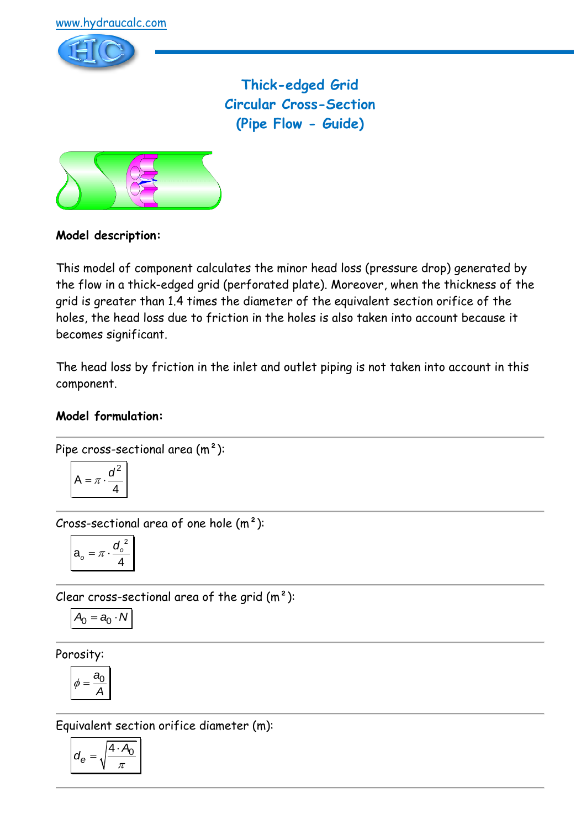

**Thick-edged Grid Circular Cross-Section (Pipe Flow - Guide)**



## **Model description:**

This model of component calculates the minor head loss (pressure drop) generated by the flow in a thick-edged grid (perforated plate). Moreover, when the thickness of the grid is greater than 1.4 times the diameter of the equivalent section orifice of the holes, the head loss due to friction in the holes is also taken into account because it becomes significant.

The head loss by friction in the inlet and outlet piping is not taken into account in this component.

#### **Model formulation:**

Pipe cross-sectional area 
$$
(m^2)
$$
:

$$
A = \pi \cdot \frac{d^2}{4}
$$

Cross-sectional area of one hole  $(m<sup>2</sup>)$ :

$$
a_o = \pi \cdot \frac{d_o^2}{4}
$$

Clear cross-sectional area of the grid  $(m<sup>2</sup>)$ :

$$
A_0=a_0\cdot N
$$

Porosity:

$$
\phi = \frac{a_0}{A}
$$

Equivalent section orifice diameter (m):

$$
d_e = \sqrt{\frac{4 \cdot A_0}{\pi}}
$$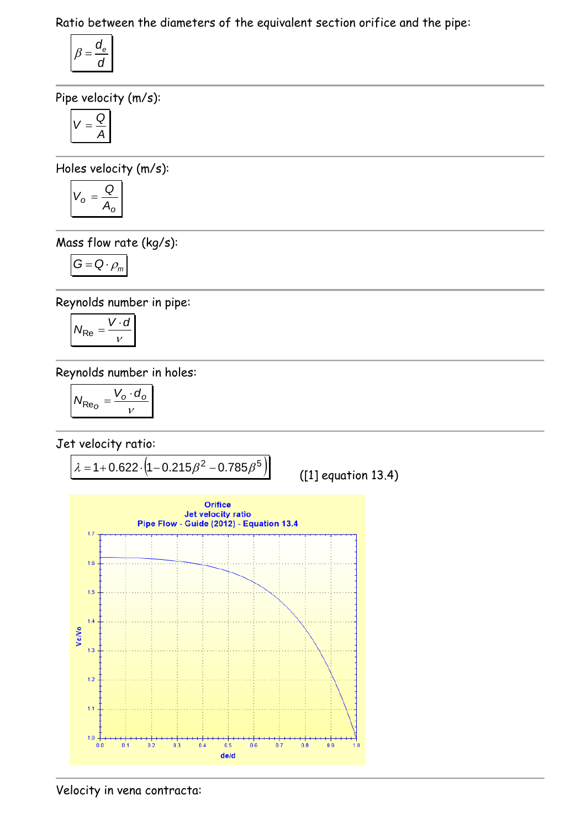Ratio between the diameters of the equivalent section orifice and the pipe:

$$
\beta = \frac{d_e}{d}
$$

Pipe velocity (m/s):

$$
V=\frac{Q}{A}
$$

Holes velocity (m/s):

$$
V_o = \frac{Q}{A_o}
$$

Mass flow rate (kg/s):

$$
G=Q\cdot \rho_m
$$

Reynolds number in pipe:

$$
N_{\text{Re}} = \frac{V \cdot d}{v}
$$

Reynolds number in holes:

$$
N_{\text{Re}_O} = \frac{V_o \cdot d_o}{v}
$$

Jet velocity ratio:



Velocity in vena contracta: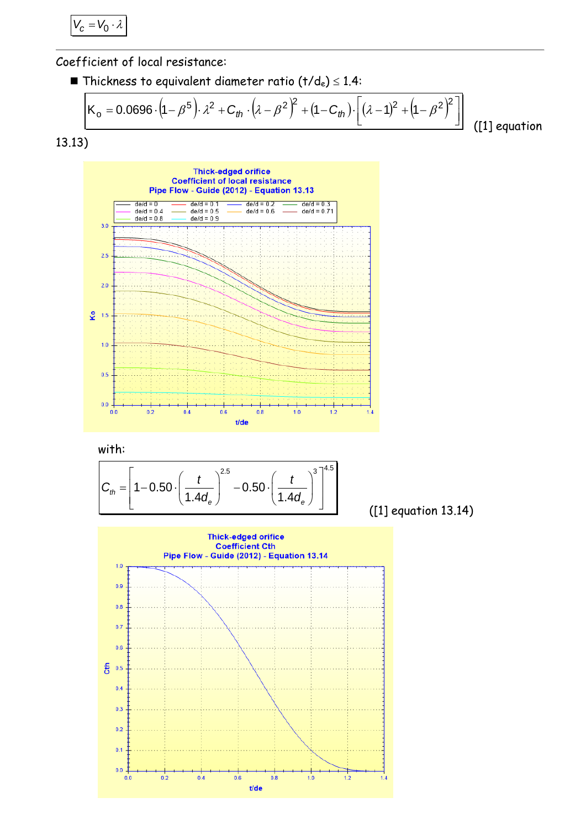$V_c = V_0 \cdot \lambda$ 

Coefficient of local resistance:

**Thickness to equivalent diameter ratio (t/de)**  $\leq$  1.4:

$$
K_{\rm o} = 0.0696 \cdot (1 - \beta^5) \cdot \lambda^2 + C_{\rm th} \cdot (\lambda - \beta^2)^2 + (1 - C_{\rm th}) \cdot \left[ (\lambda - 1)^2 + (1 - \beta^2)^2 \right]
$$
 (1) equation





with:

with:  

$$
C_{th} = \left[1 - 0.50 \cdot \left(\frac{t}{1.4d_e}\right)^{2.5} - 0.50 \cdot \left(\frac{t}{1.4d_e}\right)^{3}\right]^{4.5}
$$

([1] equation 13.14)

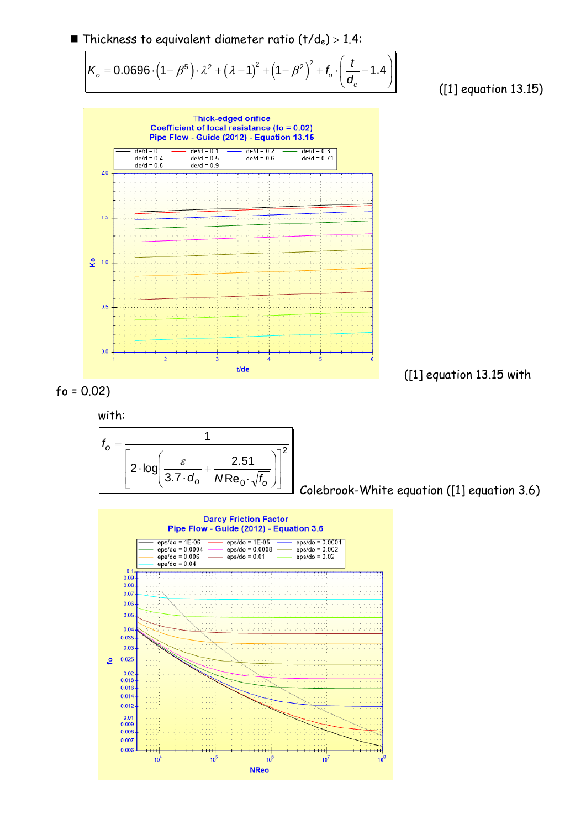

([1] equation 13.15)



with:



Colebrook-White equation ([1] equation 3.6)

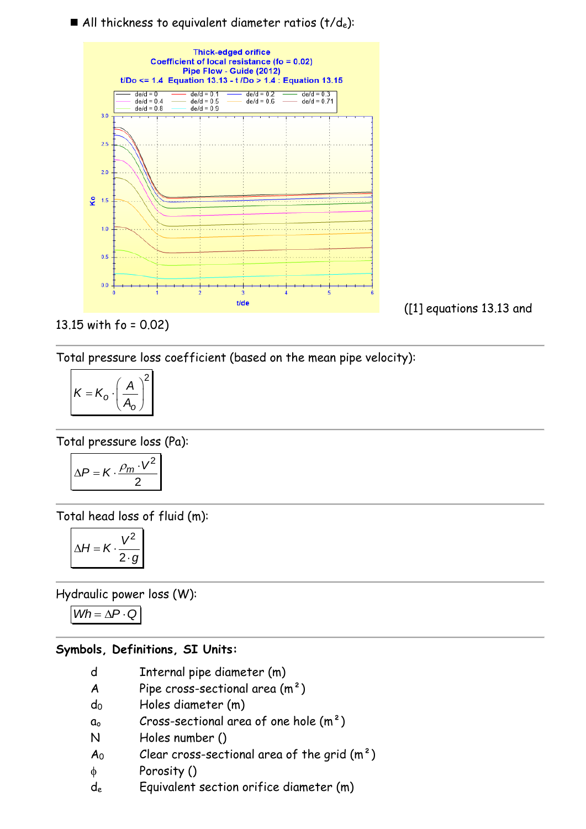### All thickness to equivalent diameter ratios  $(t/d_e)$ :



13.15 with fo = 0.02)

Total pressure loss coefficient (based on the mean pipe velocity):

$$
K = K_o \cdot \left(\frac{A}{A_o}\right)^2
$$

Total pressure loss (Pa):

$$
\Delta P = K \cdot \frac{\rho_m \cdot V^2}{2}
$$

Total head loss of fluid (m):

$$
\Delta H = K \cdot \frac{V^2}{2 \cdot g}
$$

Hydraulic power loss (W):

 $Wh = \Delta P \cdot Q$ 

# **Symbols, Definitions, SI Units:**

- d Internal pipe diameter (m)
- A Pipe cross-sectional area  $(m<sup>2</sup>)$
- d<sup>0</sup> Holes diameter (m)
- $a_0$  Cross-sectional area of one hole  $(m^2)$
- N Holes number ()
- $A_0$  Clear cross-sectional area of the grid  $(m^2)$
- Porosity ()
- d<sup>e</sup> Equivalent section orifice diameter (m)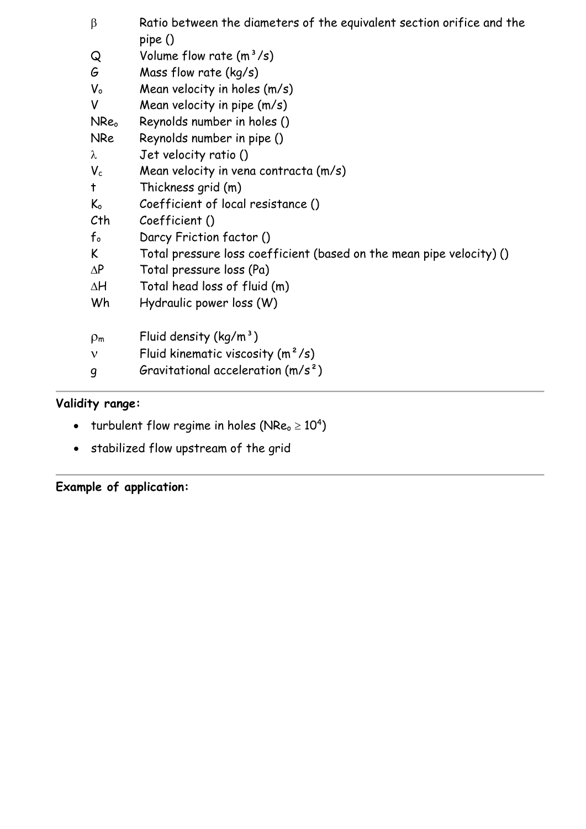| $\beta$      | Ratio between the diameters of the equivalent section orifice and the<br>pipe() |
|--------------|---------------------------------------------------------------------------------|
| Q            | Volume flow rate $(m^3/s)$                                                      |
| G            | Mass flow rate (kg/s)                                                           |
| $V_{o}$      | Mean velocity in holes (m/s)                                                    |
| V            | Mean velocity in pipe $(m/s)$                                                   |
| NReo         | Reynolds number in holes ()                                                     |
| <b>NRe</b>   | Reynolds number in pipe ()                                                      |
| $\lambda$    | Jet velocity ratio ()                                                           |
| $V_c$        | Mean velocity in vena contracta (m/s)                                           |
| t            | Thickness grid (m)                                                              |
| $K_{o}$      | Coefficient of local resistance ()                                              |
| Cth          | Coefficient ()                                                                  |
| $f_{o}$      | Darcy Friction factor ()                                                        |
| K            | Total pressure loss coefficient (based on the mean pipe velocity) ()            |
| $\Delta P$   | Total pressure loss (Pa)                                                        |
| ΔH           | Total head loss of fluid (m)                                                    |
| Wh           | Hydraulic power loss (W)                                                        |
| $\rho_m$     | Fluid density $(kg/m^3)$                                                        |
| $\mathbf{v}$ | Fluid kinematic viscosity $(m^2/s)$                                             |
| g            | Gravitational acceleration $(m/s^2)$                                            |

# **Validity range:**

- turbulent flow regime in holes (NRe $_{\circ}$   $\geq 10^{4})$
- stabilized flow upstream of the grid

**Example of application:**